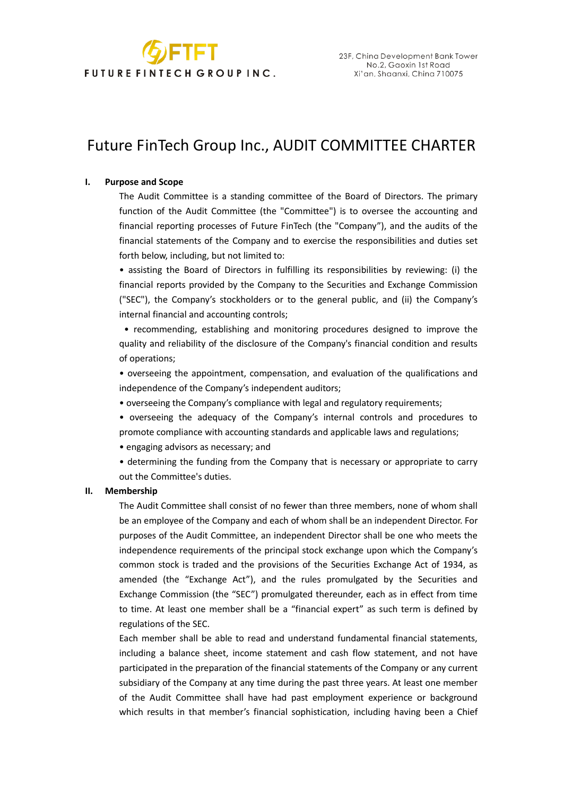

# Future FinTech Group Inc., AUDIT COMMITTEE CHARTER

## **I. Purpose and Scope**

The Audit Committee is a standing committee of the Board of Directors. The primary function of the Audit Committee (the "Committee") is to oversee the accounting and financial reporting processes of Future FinTech (the "Company"), and the audits of the financial statements of the Company and to exercise the responsibilities and duties set forth below, including, but not limited to:

• assisting the Board of Directors in fulfilling its responsibilities by reviewing: (i) the financial reports provided by the Company to the Securities and Exchange Commission ("SEC"), the Company's stockholders or to the general public, and (ii) the Company's internal financial and accounting controls;

• recommending, establishing and monitoring procedures designed to improve the quality and reliability of the disclosure of the Company's financial condition and results of operations;

• overseeing the appointment, compensation, and evaluation of the qualifications and independence of the Company's independent auditors;

• overseeing the Company's compliance with legal and regulatory requirements;

• overseeing the adequacy of the Company's internal controls and procedures to promote compliance with accounting standards and applicable laws and regulations;

• engaging advisors as necessary; and

• determining the funding from the Company that is necessary or appropriate to carry out the Committee's duties.

### **II. Membership**

The Audit Committee shall consist of no fewer than three members, none of whom shall be an employee of the Company and each of whom shall be an independent Director. For purposes of the Audit Committee, an independent Director shall be one who meets the independence requirements of the principal stock exchange upon which the Company's common stock is traded and the provisions of the Securities Exchange Act of 1934, as amended (the "Exchange Act"), and the rules promulgated by the Securities and Exchange Commission (the "SEC") promulgated thereunder, each as in effect from time to time. At least one member shall be a "financial expert" as such term is defined by regulations of the SEC.

Each member shall be able to read and understand fundamental financial statements, including a balance sheet, income statement and cash flow statement, and not have participated in the preparation of the financial statements of the Company or any current subsidiary of the Company at any time during the past three years. At least one member of the Audit Committee shall have had past employment experience or background which results in that member's financial sophistication, including having been a Chief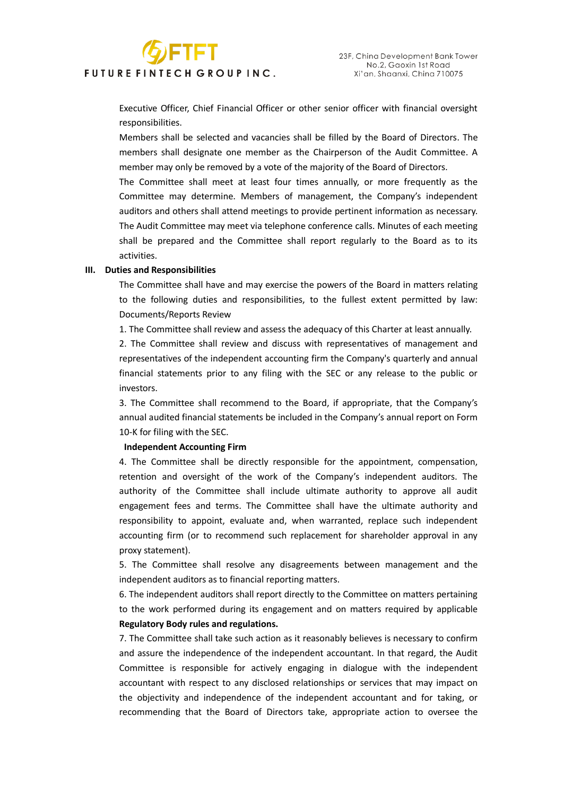# FUTURE FINTECH GROUP INC.

**GETET** 

Executive Officer, Chief Financial Officer or other senior officer with financial oversight responsibilities.

Members shall be selected and vacancies shall be filled by the Board of Directors. The members shall designate one member as the Chairperson of the Audit Committee. A member may only be removed by a vote of the majority of the Board of Directors.

The Committee shall meet at least four times annually, or more frequently as the Committee may determine. Members of management, the Company's independent auditors and others shall attend meetings to provide pertinent information as necessary. The Audit Committee may meet via telephone conference calls. Minutes of each meeting shall be prepared and the Committee shall report regularly to the Board as to its activities.

#### **III. Duties and Responsibilities**

The Committee shall have and may exercise the powers of the Board in matters relating to the following duties and responsibilities, to the fullest extent permitted by law: Documents/Reports Review

1. The Committee shall review and assess the adequacy of this Charter at least annually.

2. The Committee shall review and discuss with representatives of management and representatives of the independent accounting firm the Company's quarterly and annual financial statements prior to any filing with the SEC or any release to the public or investors.

3. The Committee shall recommend to the Board, if appropriate, that the Company's annual audited financial statements be included in the Company's annual report on Form 10-K for filing with the SEC.

#### **Independent Accounting Firm**

4. The Committee shall be directly responsible for the appointment, compensation, retention and oversight of the work of the Company's independent auditors. The authority of the Committee shall include ultimate authority to approve all audit engagement fees and terms. The Committee shall have the ultimate authority and responsibility to appoint, evaluate and, when warranted, replace such independent accounting firm (or to recommend such replacement for shareholder approval in any proxy statement).

5. The Committee shall resolve any disagreements between management and the independent auditors as to financial reporting matters.

6. The independent auditors shall report directly to the Committee on matters pertaining to the work performed during its engagement and on matters required by applicable **Regulatory Body rules and regulations.** 

7. The Committee shall take such action as it reasonably believes is necessary to confirm and assure the independence of the independent accountant. In that regard, the Audit Committee is responsible for actively engaging in dialogue with the independent accountant with respect to any disclosed relationships or services that may impact on the objectivity and independence of the independent accountant and for taking, or recommending that the Board of Directors take, appropriate action to oversee the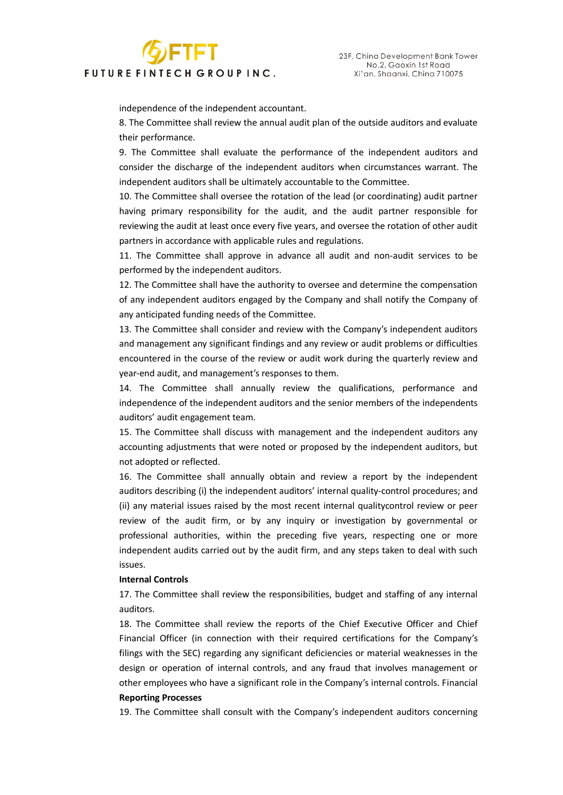# FUTURE FINTECH GROUP INC.

**GETET** 

independence of the independent accountant.

8. The Committee shall review the annual audit plan of the outside auditors and evaluate their performance.

9. The Committee shall evaluate the performance of the independent auditors and consider the discharge of the independent auditors when circumstances warrant. The independent auditors shall be ultimately accountable to the Committee.

10. The Committee shall oversee the rotation of the lead (or coordinating) audit partner having primary responsibility for the audit, and the audit partner responsible for reviewing the audit at least once every five years, and oversee the rotation of other audit partners in accordance with applicable rules and regulations.

11. The Committee shall approve in advance all audit and non-audit services to be performed by the independent auditors.

12. The Committee shall have the authority to oversee and determine the compensation of any independent auditors engaged by the Company and shall notify the Company of any anticipated funding needs of the Committee.

13. The Committee shall consider and review with the Company's independent auditors and management any significant findings and any review or audit problems or difficulties encountered in the course of the review or audit work during the quarterly review and year-end audit, and management's responses to them.

14. The Committee shall annually review the qualifications, performance and independence of the independent auditors and the senior members of the independents auditors' audit engagement team.

15. The Committee shall discuss with management and the independent auditors any accounting adjustments that were noted or proposed by the independent auditors, but not adopted or reflected.

16. The Committee shall annually obtain and review a report by the independent auditors describing (i) the independent auditors' internal quality-control procedures; and (ii) any material issues raised by the most recent internal qualitycontrol review or peer review of the audit firm, or by any inquiry or investigation by governmental or professional authorities, within the preceding five years, respecting one or more independent audits carried out by the audit firm, and any steps taken to deal with such issues.

#### **Internal Controls**

17. The Committee shall review the responsibilities, budget and staffing of any internal auditors.

18. The Committee shall review the reports of the Chief Executive Officer and Chief Financial Officer (in connection with their required certifications for the Company's filings with the SEC) regarding any significant deficiencies or material weaknesses in the design or operation of internal controls, and any fraud that involves management or other employees who have a significant role in the Company's internal controls. Financial **Reporting Processes** 

19. The Committee shall consult with the Company's independent auditors concerning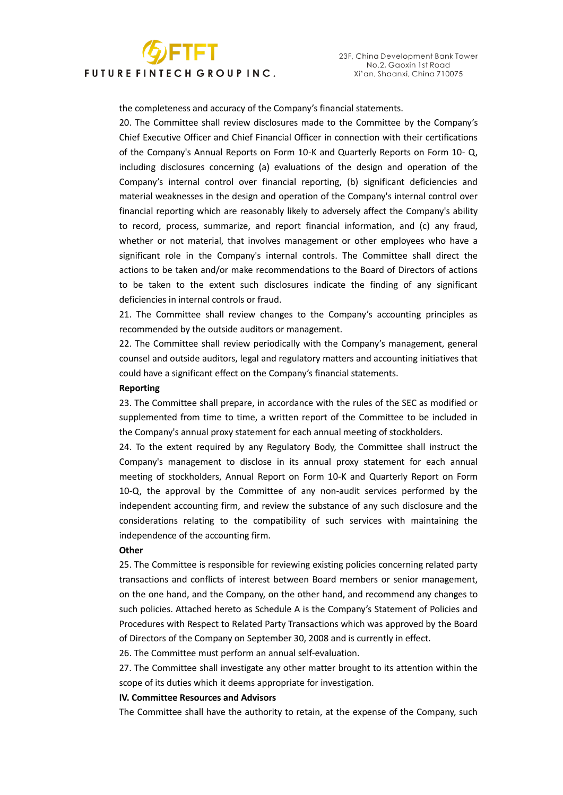# **GETET** FUTURE FINTECH GROUP INC.

the completeness and accuracy of the Company's financial statements.

20. The Committee shall review disclosures made to the Committee by the Company's Chief Executive Officer and Chief Financial Officer in connection with their certifications of the Company's Annual Reports on Form 10-K and Quarterly Reports on Form 10- Q, including disclosures concerning (a) evaluations of the design and operation of the Company's internal control over financial reporting, (b) significant deficiencies and material weaknesses in the design and operation of the Company's internal control over financial reporting which are reasonably likely to adversely affect the Company's ability to record, process, summarize, and report financial information, and (c) any fraud, whether or not material, that involves management or other employees who have a significant role in the Company's internal controls. The Committee shall direct the actions to be taken and/or make recommendations to the Board of Directors of actions to be taken to the extent such disclosures indicate the finding of any significant deficiencies in internal controls or fraud.

21. The Committee shall review changes to the Company's accounting principles as recommended by the outside auditors or management.

22. The Committee shall review periodically with the Company's management, general counsel and outside auditors, legal and regulatory matters and accounting initiatives that could have a significant effect on the Company's financial statements.

### **Reporting**

23. The Committee shall prepare, in accordance with the rules of the SEC as modified or supplemented from time to time, a written report of the Committee to be included in the Company's annual proxy statement for each annual meeting of stockholders.

24. To the extent required by any Regulatory Body, the Committee shall instruct the Company's management to disclose in its annual proxy statement for each annual meeting of stockholders, Annual Report on Form 10-K and Quarterly Report on Form 10-Q, the approval by the Committee of any non-audit services performed by the independent accounting firm, and review the substance of any such disclosure and the considerations relating to the compatibility of such services with maintaining the independence of the accounting firm.

#### **Other**

25. The Committee is responsible for reviewing existing policies concerning related party transactions and conflicts of interest between Board members or senior management, on the one hand, and the Company, on the other hand, and recommend any changes to such policies. Attached hereto as Schedule A is the Company's Statement of Policies and Procedures with Respect to Related Party Transactions which was approved by the Board of Directors of the Company on September 30, 2008 and is currently in effect.

26. The Committee must perform an annual self-evaluation.

27. The Committee shall investigate any other matter brought to its attention within the scope of its duties which it deems appropriate for investigation.

#### **IV. Committee Resources and Advisors**

The Committee shall have the authority to retain, at the expense of the Company, such